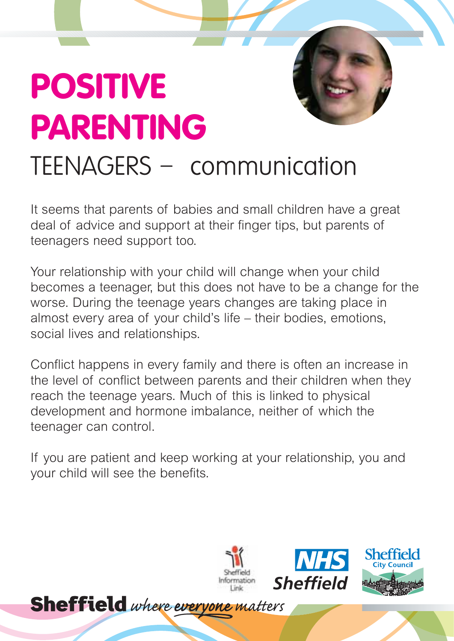## **POSITIVE PARENTING** TEENAGERS – communication

It seems that parents of babies and small children have a great deal of advice and support at their finger tips, but parents of teenagers need support too.

Your relationship with your child will change when your child becomes a teenager, but this does not have to be a change for the worse. During the teenage years changes are taking place in almost every area of your child's life – their bodies, emotions, social lives and relationships.

Conflict happens in every family and there is often an increase in the level of conflict between parents and their children when they reach the teenage years. Much of this is linked to physical development and hormone imbalance, neither of which the teenager can control.

If you are patient and keep working at your relationship, you and your child will see the benefits.